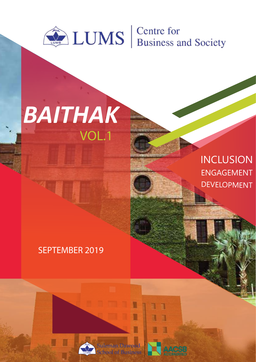

## VOL.1 *BAITHAK*

## INCLUSION ENGAGEMENT DEVELOPMENT

## SEPTEMBER 2019

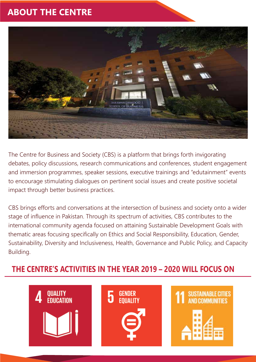## **ABOUT THE CENTRE**



The Centre for Business and Society (CBS) is a platform that brings forth invigorating debates, policy discussions, research communications and conferences, student engagement and immersion programmes, speaker sessions, executive trainings and "edutainment" events to encourage stimulating dialogues on pertinent social issues and create positive societal impact through better business practices.

CBS brings efforts and conversations at the intersection of business and society onto a wider stage of influence in Pakistan. Through its spectrum of activities, CBS contributes to the international community agenda focused on attaining Sustainable Development Goals with thematic areas focusing specifically on Ethics and Social Responsibility, Education, Gender, Sustainability, Diversity and Inclusiveness, Health, Governance and Public Policy, and Capacity Building.

## **THE CENTRE'S ACTIVITIES IN THE YEAR 2019 – 2020 WILL FOCUS ON**

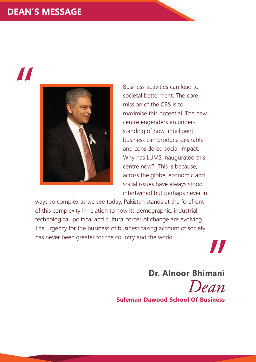## **DEAN'S MESSAGE**

# "



Business activities can lead to societal betterment. The core mission of the CBS is to maximise this potential. The new centre engenders an understanding of how intelligent business can produce desirable and considered social impact. Why has LUMS inaugurated this centre now? This is because, across the globe, economic and social issues have always stood intertwined but perhaps never in

ways so complex as we see today. Pakistan stands at the forefront of this complexity in relation to how its demographic, industrial, technological, political and cultural forces of change are evolving. The urgency for the business of business taking account of society has never been greater for the country and the world.

> **Dr. Alnoor Bhimani** *Dean*

"

**Suleman Dawood School Of Business**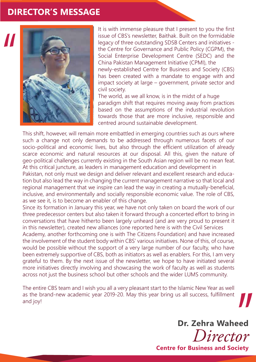### **DIRECTOR'S MESSAGE**



It is with immense pleasure that I present to you the first issue of CBS's newsletter, Baithak. Built on the formidable legacy of three outstanding SDSB Centers and initiatives the Centre for Governance and Public Policy (CGPM), the Social Enterprise Development Centre (SEDC) and the China Pakistan Management Initiative (CPMI), the newly-established Centre for Business and Society (CBS) has been created with a mandate to engage with and impact society at large – government, private sector and civil society.

The world, as we all know, is in the midst of a huge paradigm shift that requires moving away from practices based on the assumptions of the industrial revolution towards those that are more inclusive, responsible and centred around sustainable development.

This shift, however, will remain more embattled in emerging countries such as ours where such a change not only demands to be addressed through numerous facets of our socio-political and economic lives, but also through the efficient utilization of already scarce economic and natural resources at our disposal. All this, given the nature of geo-political challenges currently existing in the South Asian region will be no mean feat. At this critical juncture, as leaders in management education and development in Pakistan, not only must we design and deliver relevant and excellent research and education but also lead the way in changing the current management narrative so that local and regional management that we inspire can lead the way in creating a mutually-beneficial, inclusive, and environmentally and socially responsible economic value. The role of CBS,

as we see it, is to become an enabler of this change.

Since its formation in January this year, we have not only taken on board the work of our three predecessor centers but also taken it forward through a concerted effort to bring in conversations that have hitherto been largely unheard (and are very proud to present it in this newsletter), created new alliances (one reported here is with the Civil Services Academy, another forthcoming one is with The Citizens Foundation) and have increased the involvement of the student body within CBS' various initiatives. None of this, of course, would be possible without the support of a very large number of our faculty, who have been extremely supportive of CBS, both as initiators as well as enablers. For this, I am very grateful to them. By the next issue of the newsletter, we hope to have initiated several more initiatives directly involving and showcasing the work of faculty as well as students across not just the business school but other schools and the wider LUMS community.

The entire CBS team and I wish you all a very pleasant start to the Islamic New Year as well as the brand-new academic year 2019-20. May this year bring us all success, fulfillment and joy!

> **Dr. Zehra Waheed** *Director*

"

**Centre for Business and Society**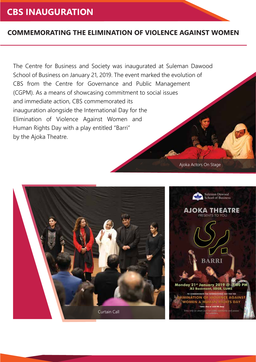## **CBS INAUGURATION**

#### **COMMEMORATING THE ELIMINATION OF VIOLENCE AGAINST WOMEN**

The Centre for Business and Society was inaugurated at Suleman Dawood School of Business on January 21, 2019. The event marked the evolution of CBS from the Centre for Governance and Public Management (CGPM). As a means of showcasing commitment to social issues and immediate action, CBS commemorated its inauguration alongside the International Day for the Elimination of Violence Against Women and Human Rights Day with a play entitled "Barri" by the Ajoka Theatre.

Suleman Dawood **School of Business AJOKA THEATRE** RESENTS TO YOU **BARRI** 21" January 2019 @ **B3 Basement, SDSB, LUM GATE E AGAINS MINATION O WOMEN & HU RIGHTS DAY** Curtain Call

Ajoka Actors On Stage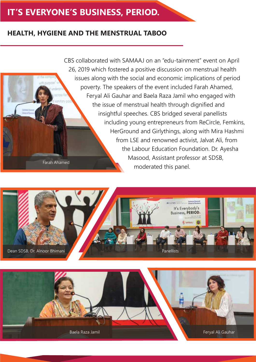## **IT'S EVERYONE'S BUSINESS, PERIOD.**

#### **HEALTH, HYGIENE AND THE MENSTRUAL TABOO**

CBS collaborated with SAMAAJ on an "edu-tainment" event on April 26, 2019 which fostered a positive discussion on menstrual health issues along with the social and economic implications of period poverty. The speakers of the event included Farah Ahamed, Feryal Ali Gauhar and Baela Raza Jamil who engaged with the issue of menstrual health through dignified and insightful speeches. CBS bridged several panellists including young entrepreneurs from ReCircle, Femkins, HerGround and Girlythings, along with Mira Hashmi from LSE and renowned activist, Jalvat Ali, from the Labour Education Foundation. Dr. Ayesha Masood, Assistant professor at SDSB, moderated this panel. Farah Ahamed



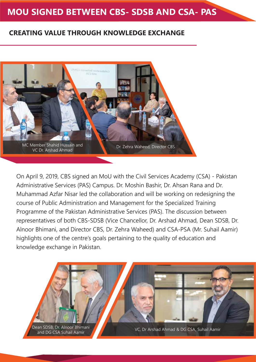## **MOU SIGNED BETWEEN CBS- SDSB AND CSA- PAS**

#### **CREATING VALUE THROUGH KNOWLEDGE EXCHANGE**



On April 9, 2019, CBS signed an MoU with the Civil Services Academy (CSA) - Pakistan Administrative Services (PAS) Campus. Dr. Moshin Bashir, Dr. Ahsan Rana and Dr. Muhammad Azfar Nisar led the collaboration and will be working on redesigning the course of Public Administration and Management for the Specialized Training Programme of the Pakistan Administrative Services (PAS). The discussion between representatives of both CBS-SDSB (Vice Chancellor, Dr. Arshad Ahmad, Dean SDSB, Dr. Alnoor Bhimani, and Director CBS, Dr. Zehra Waheed) and CSA-PSA (Mr. Suhail Aamir) highlights one of the centre's goals pertaining to the quality of education and knowledge exchange in Pakistan.

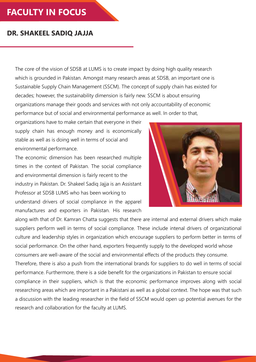## **FACULTY IN FOCUS**

#### **DR. SHAKEEL SADIQ JAJJA**

The core of the vision of SDSB at LUMS is to create impact by doing high quality research which is grounded in Pakistan. Amongst many research areas at SDSB, an important one is Sustainable Supply Chain Management (SSCM). The concept of supply chain has existed for decades; however, the sustainability dimension is fairly new. SSCM is about ensuring organizations manage their goods and services with not only accountability of economic performance but of social and environmental performance as well. In order to that,

organizations have to make certain that everyone in their supply chain has enough money and is economically stable as well as is doing well in terms of social and environmental performance.

The economic dimension has been researched multiple times in the context of Pakistan. The social compliance and environmental dimension is fairly recent to the industry in Pakistan. Dr. Shakeel Sadiq Jajja is an Assistant Professor at SDSB LUMS who has been working to understand drivers of social compliance in the apparel manufactures and exporters in Pakistan. His research



along with that of Dr. Kamran Chatta suggests that there are internal and external drivers which make suppliers perform well in terms of social compliance. These include intenal drivers of organizational culture and leadership styles in organization which encourage suppliers to perform better in terms of social performance. On the other hand, exporters frequently supply to the developed world whose consumers are well-aware of the social and environmental effects of the products they consume. Therefore, there is also a push from the international brands for suppliers to do well in terms of social performance. Furthermore, there is a side benefit for the organizations in Pakistan to ensure social compliance in their suppliers, which is that the economic performance improves along with social researching areas which are important in a Pakistani as well as a global context. The hope was that such a discussion with the leading researcher in the field of SSCM would open up potential avenues for the research and collaboration for the faculty at LUMS.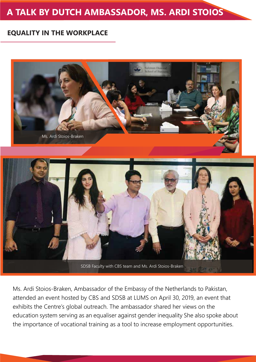## **A TALK BY DUTCH AMBASSADOR, MS. ARDI STOIOS**

#### **EQUALITY IN THE WORKPLACE**



Ms. Ardi Stoios-Braken, Ambassador of the Embassy of the Netherlands to Pakistan, attended an event hosted by CBS and SDSB at LUMS on April 30, 2019, an event that exhibits the Centre's global outreach. The ambassador shared her views on the education system serving as an equaliser against gender inequality She also spoke about the importance of vocational training as a tool to increase employment opportunities.